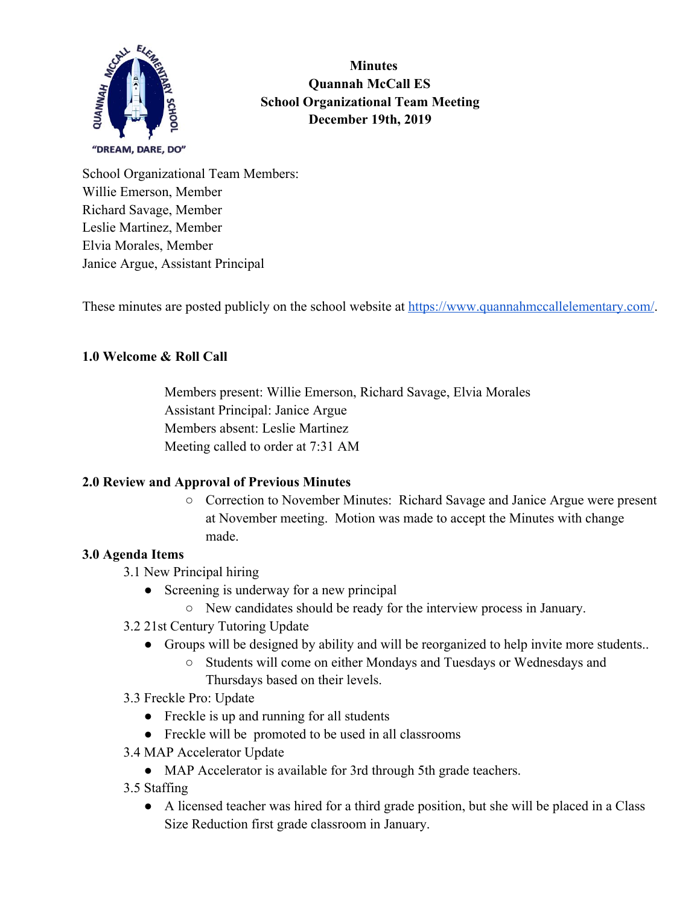

 **Minutes Quannah McCall ES School Organizational Team Meeting December 19th, 2019**

School Organizational Team Members: Willie Emerson, Member Richard Savage, Member Leslie Martinez, Member Elvia Morales, Member Janice Argue, Assistant Principal

These minutes are posted publicly on the school website at<https://www.quannahmccallelementary.com/>.

# **1.0 Welcome & Roll Call**

Members present: Willie Emerson, Richard Savage, Elvia Morales Assistant Principal: Janice Argue Members absent: Leslie Martinez Meeting called to order at 7:31 AM

# **2.0 Review and Approval of Previous Minutes**

○ Correction to November Minutes: Richard Savage and Janice Argue were present at November meeting. Motion was made to accept the Minutes with change made.

#### **3.0 Agenda Items**

- 3.1 New Principal hiring
	- Screening is underway for a new principal
		- New candidates should be ready for the interview process in January.
- 3.2 21st Century Tutoring Update
	- Groups will be designed by ability and will be reorganized to help invite more students..
		- Students will come on either Mondays and Tuesdays or Wednesdays and Thursdays based on their levels.
- 3.3 Freckle Pro: Update
	- Freckle is up and running for all students
	- Freckle will be promoted to be used in all classrooms
- 3.4 MAP Accelerator Update
	- MAP Accelerator is available for 3rd through 5th grade teachers.
- 3.5 Staffing
	- A licensed teacher was hired for a third grade position, but she will be placed in a Class Size Reduction first grade classroom in January.